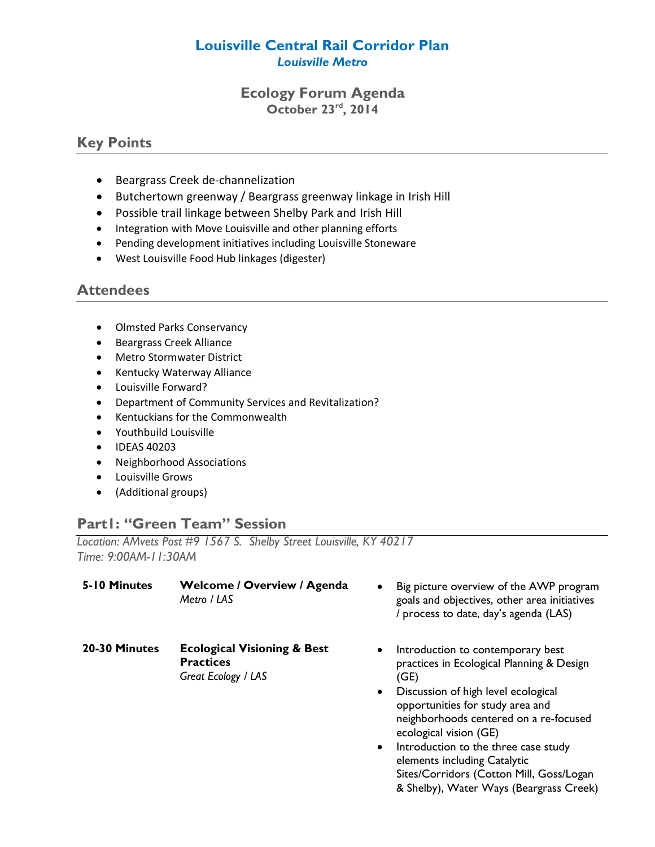## **Louisville Central Rail Corridor Plan** *Louisville Metro*

## **Ecology Forum Agenda October 23rd, 2014**

# **Key Points**

- Beargrass Creek de-channelization
- Butchertown greenway / Beargrass greenway linkage in Irish Hill
- Possible trail linkage between Shelby Park and Irish Hill
- Integration with Move Louisville and other planning efforts
- Pending development initiatives including Louisville Stoneware
- West Louisville Food Hub linkages (digester)

# **Attendees**

- Olmsted Parks Conservancy
- **•** Beargrass Creek Alliance
- Metro Stormwater District
- Kentucky Waterway Alliance
- Louisville Forward?
- Department of Community Services and Revitalization?
- Kentuckians for the Commonwealth
- Youthbuild Louisville
- IDEAS 40203
- Neighborhood Associations
- Louisville Grows
- (Additional groups)

# **Part1: "Green Team" Session**

*Location: AMvets Post #9 1567 S. Shelby Street Louisville, KY 40217 Time: 9:00AM-11:30AM*

| 5-10 Minutes  | <b>Welcome / Overview / Agenda</b><br>Metro / LAS                                 | Big picture overview of the AWP program<br>$\bullet$<br>goals and objectives, other area initiatives<br>/ process to date, day's agenda (LAS)                                                                                                                                                                                                                                                                                               |
|---------------|-----------------------------------------------------------------------------------|---------------------------------------------------------------------------------------------------------------------------------------------------------------------------------------------------------------------------------------------------------------------------------------------------------------------------------------------------------------------------------------------------------------------------------------------|
| 20-30 Minutes | <b>Ecological Visioning &amp; Best</b><br><b>Practices</b><br>Great Ecology / LAS | Introduction to contemporary best<br>$\bullet$<br>practices in Ecological Planning & Design<br>(GE)<br>Discussion of high level ecological<br>$\bullet$<br>opportunities for study area and<br>neighborhoods centered on a re-focused<br>ecological vision (GE)<br>Introduction to the three case study<br>$\bullet$<br>elements including Catalytic<br>Sites/Corridors (Cotton Mill, Goss/Logan<br>& Shelby), Water Ways (Beargrass Creek) |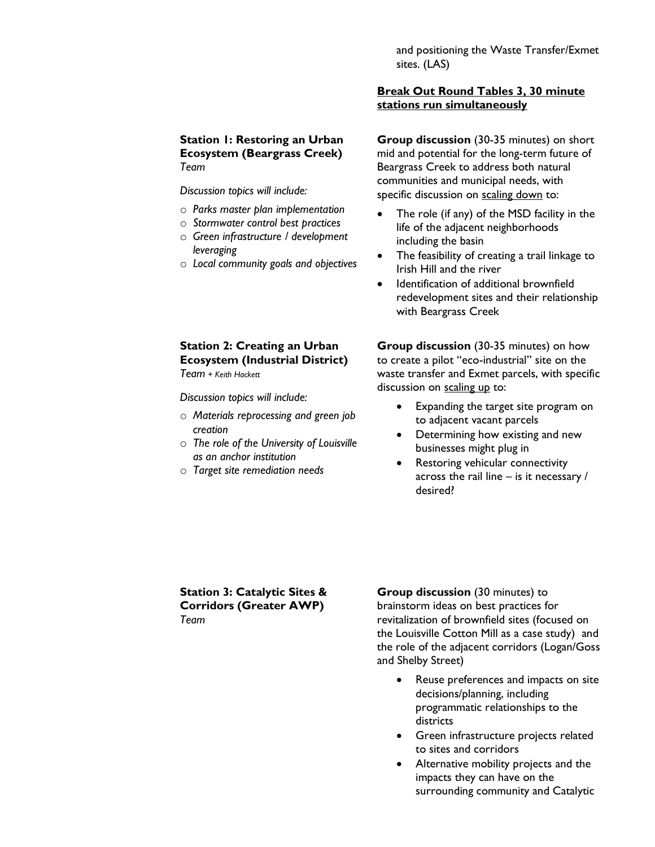and positioning the Waste Transfer/Exmet sites. (LAS)

### **Break Out Round Tables 3, 30 minute stations run simultaneously**

**Station 1: Restoring an Urban Ecosystem (Beargrass Creek)** *Team*

*Discussion topics will include:*

- o *Parks master plan implementation*
- o *Stormwater control best practices*
- o *Green infrastructure / development leveraging*
- o *Local community goals and objectives*

**Group discussion** (30-35 minutes) on short mid and potential for the long-term future of Beargrass Creek to address both natural communities and municipal needs, with specific discussion on scaling down to:

- The role (if any) of the MSD facility in the life of the adjacent neighborhoods including the basin
- The feasibility of creating a trail linkage to Irish Hill and the river
- Identification of additional brownfield redevelopment sites and their relationship with Beargrass Creek

## **Station 2: Creating an Urban Ecosystem (Industrial District)**

*Team + Keith Hackett*

*Discussion topics will include:*

- o *Materials reprocessing and green job creation*
- o *The role of the University of Louisville as an anchor institution*
- o *Target site remediation needs*

**Group discussion** (30-35 minutes) on how to create a pilot "eco-industrial" site on the waste transfer and Exmet parcels, with specific discussion on scaling up to:

- Expanding the target site program on to adjacent vacant parcels
- Determining how existing and new businesses might plug in
- Restoring vehicular connectivity across the rail line – is it necessary / desired?

#### **Station 3: Catalytic Sites & Corridors (Greater AWP)** *Team*

**Group discussion** (30 minutes) to brainstorm ideas on best practices for revitalization of brownfield sites (focused on the Louisville Cotton Mill as a case study) and the role of the adjacent corridors (Logan/Goss and Shelby Street)

- Reuse preferences and impacts on site decisions/planning, including programmatic relationships to the districts
- **•** Green infrastructure projects related to sites and corridors
- Alternative mobility projects and the impacts they can have on the surrounding community and Catalytic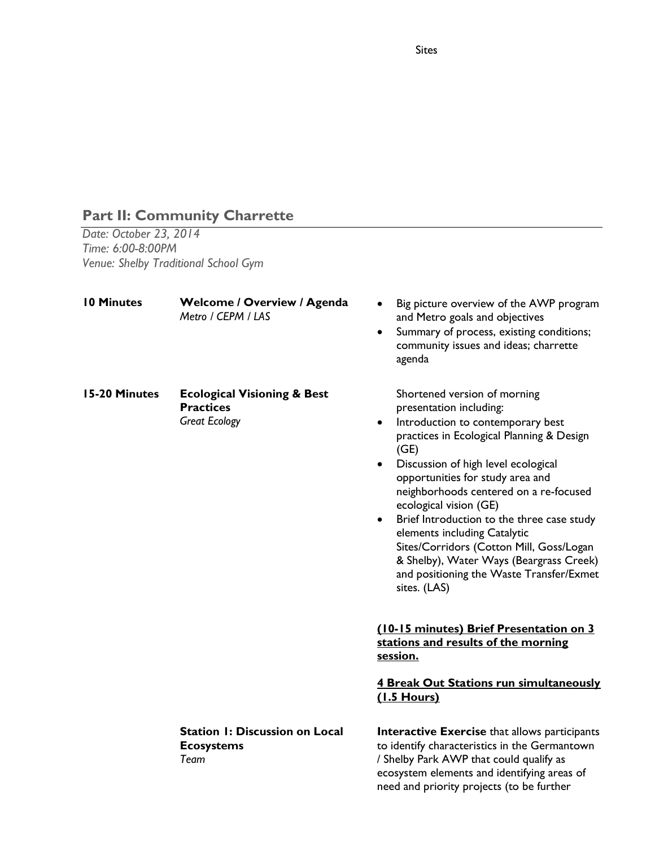# **Part II: Community Charrette**

*Date: October 23, 2014 Time: 6:00-8:00PM Venue: Shelby Traditional School Gym*

| <b>10 Minutes</b> | <b>Welcome / Overview / Agenda</b><br>Metro / CEPM / LAS                           | Big picture overview of the AWP program<br>and Metro goals and objectives<br>Summary of process, existing conditions;<br>$\bullet$<br>community issues and ideas; charrette<br>agenda                                                                                                                                                                                                                                                                                                                                                                                    |
|-------------------|------------------------------------------------------------------------------------|--------------------------------------------------------------------------------------------------------------------------------------------------------------------------------------------------------------------------------------------------------------------------------------------------------------------------------------------------------------------------------------------------------------------------------------------------------------------------------------------------------------------------------------------------------------------------|
| 15-20 Minutes     | <b>Ecological Visioning &amp; Best</b><br><b>Practices</b><br><b>Great Ecology</b> | Shortened version of morning<br>presentation including:<br>Introduction to contemporary best<br>$\bullet$<br>practices in Ecological Planning & Design<br>(GE)<br>Discussion of high level ecological<br>$\bullet$<br>opportunities for study area and<br>neighborhoods centered on a re-focused<br>ecological vision (GE)<br>Brief Introduction to the three case study<br>$\bullet$<br>elements including Catalytic<br>Sites/Corridors (Cotton Mill, Goss/Logan<br>& Shelby), Water Ways (Beargrass Creek)<br>and positioning the Waste Transfer/Exmet<br>sites. (LAS) |
|                   |                                                                                    | (10-15 minutes) Brief Presentation on 3<br>stations and results of the morning<br>session.                                                                                                                                                                                                                                                                                                                                                                                                                                                                               |
|                   |                                                                                    | 4 Break Out Stations run simultaneously<br>(1.5 Hours)                                                                                                                                                                                                                                                                                                                                                                                                                                                                                                                   |
|                   | <b>Station 1: Discussion on Local</b><br><b>Ecosystems</b><br>Team                 | <b>Interactive Exercise</b> that allows participants<br>to identify characteristics in the Germantown<br>/ Shelby Park AWP that could qualify as<br>ecosystem elements and identifying areas of<br>need and priority projects (to be further                                                                                                                                                                                                                                                                                                                             |